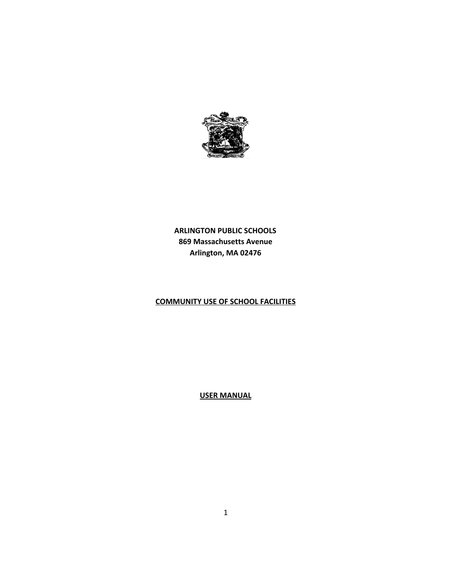

**ARLINGTON PUBLIC SCHOOLS 869 Massachusetts Avenue Arlington, MA 02476**

# **COMMUNITY USE OF SCHOOL FACILITIES**

**USER MANUAL**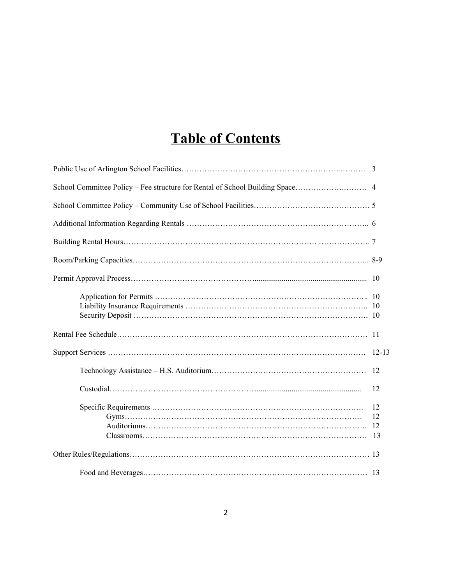# **Table of Contents**

| -10                  |
|----------------------|
|                      |
|                      |
| $12 - 13$            |
| 12                   |
| 12                   |
| 12<br>12<br>12<br>13 |
|                      |
|                      |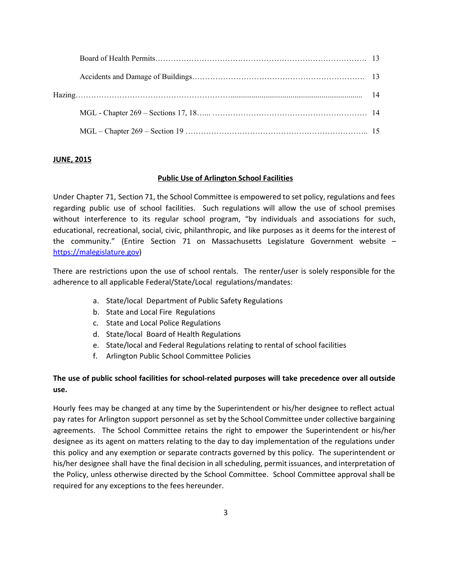## **JUNE, 2015**

## **Public Use of Arlington School Facilities**

Under Chapter 71, Section 71, the School Committee is empowered to set policy, regulations and fees regarding public use of school facilities. Such regulations will allow the use of school premises without interference to its regular school program, "by individuals and associations for such, educational, recreational, social, civic, philanthropic, and like purposes as it deems for the interest of the community." (Entire Section 71 on Massachusetts Legislature Government website – [https://malegislature.gov\)](https://malegislature.gov/)

There are restrictions upon the use of school rentals. The renter/user is solely responsible for the adherence to all applicable Federal/State/Local regulations/mandates:

- a. State/local Department of Public Safety Regulations
- b. State and Local Fire Regulations
- c. State and Local Police Regulations
- d. State/local Board of Health Regulations
- e. State/local and Federal Regulations relating to rental of school facilities
- f. Arlington Public School Committee Policies

## **The use of public school facilities for school-related purposes will take precedence over all outside use.**

Hourly fees may be changed at any time by the Superintendent or his/her designee to reflect actual pay rates for Arlington support personnel as set by the School Committee under collective bargaining agreements. The School Committee retains the right to empower the Superintendent or his/her designee as its agent on matters relating to the day to day implementation of the regulations under this policy and any exemption or separate contracts governed by this policy. The superintendent or his/her designee shall have the final decision in all scheduling, permit issuances, and interpretation of the Policy, unless otherwise directed by the School Committee. School Committee approval shall be required for any exceptions to the fees hereunder.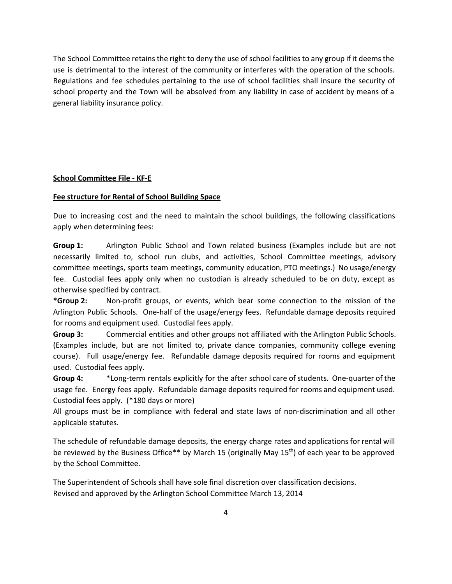The School Committee retains the right to deny the use of school facilities to any group if it deems the use is detrimental to the interest of the community or interferes with the operation of the schools. Regulations and fee schedules pertaining to the use of school facilities shall insure the security of school property and the Town will be absolved from any liability in case of accident by means of a general liability insurance policy.

#### **School Committee File - KF-E**

#### **Fee structure for Rental of School Building Space**

Due to increasing cost and the need to maintain the school buildings, the following classifications apply when determining fees:

**Group 1:** Arlington Public School and Town related business (Examples include but are not necessarily limited to, school run clubs, and activities, School Committee meetings, advisory committee meetings, sports team meetings, community education, PTO meetings.) No usage/energy fee. Custodial fees apply only when no custodian is already scheduled to be on duty, except as otherwise specified by contract.

**\*Group 2:** Non-profit groups, or events, which bear some connection to the mission of the Arlington Public Schools. One-half of the usage/energy fees. Refundable damage deposits required for rooms and equipment used. Custodial fees apply.

**Group 3:** Commercial entities and other groups not affiliated with the Arlington Public Schools. (Examples include, but are not limited to, private dance companies, community college evening course). Full usage/energy fee. Refundable damage deposits required for rooms and equipment used. Custodial fees apply.

**Group 4:** \*Long-term rentals explicitly for the after school care of students. One-quarter of the usage fee. Energy fees apply. Refundable damage deposits required for rooms and equipment used. Custodial fees apply. (\*180 days or more)

All groups must be in compliance with federal and state laws of non-discrimination and all other applicable statutes.

The schedule of refundable damage deposits, the energy charge rates and applications for rental will be reviewed by the Business Office\*\* by March 15 (originally May 15<sup>th</sup>) of each year to be approved by the School Committee.

The Superintendent of Schools shall have sole final discretion over classification decisions. Revised and approved by the Arlington School Committee March 13, 2014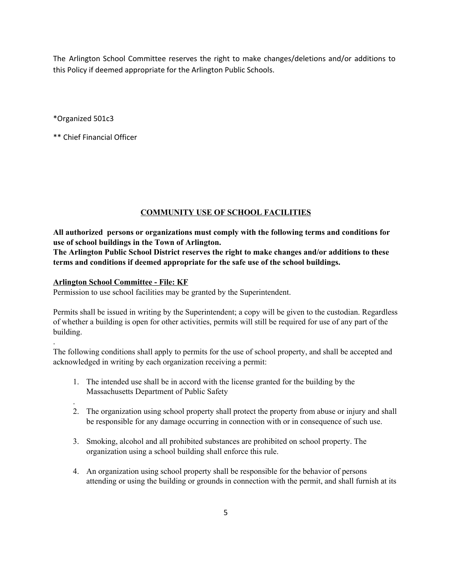The Arlington School Committee reserves the right to make changes/deletions and/or additions to this Policy if deemed appropriate for the Arlington Public Schools.

\*Organized 501c3

.

.

\*\* Chief Financial Officer

## **COMMUNITY USE OF SCHOOL FACILITIES**

**All authorized persons or organizations must comply with the following terms and conditions for use of school buildings in the Town of Arlington.**

**The Arlington Public School District reserves the right to make changes and/or additions to these terms and conditions if deemed appropriate for the safe use of the school buildings.**

## **Arlington School Committee - File: KF**

Permission to use school facilities may be granted by the Superintendent.

Permits shall be issued in writing by the Superintendent; a copy will be given to the custodian. Regardless of whether a building is open for other activities, permits will still be required for use of any part of the building.

The following conditions shall apply to permits for the use of school property, and shall be accepted and acknowledged in writing by each organization receiving a permit:

- 1. The intended use shall be in accord with the license granted for the building by the Massachusetts Department of Public Safety
- 2. The organization using school property shall protect the property from abuse or injury and shall be responsible for any damage occurring in connection with or in consequence of such use.
- 3. Smoking, alcohol and all prohibited substances are prohibited on school property. The organization using a school building shall enforce this rule.
- 4. An organization using school property shall be responsible for the behavior of persons attending or using the building or grounds in connection with the permit, and shall furnish at its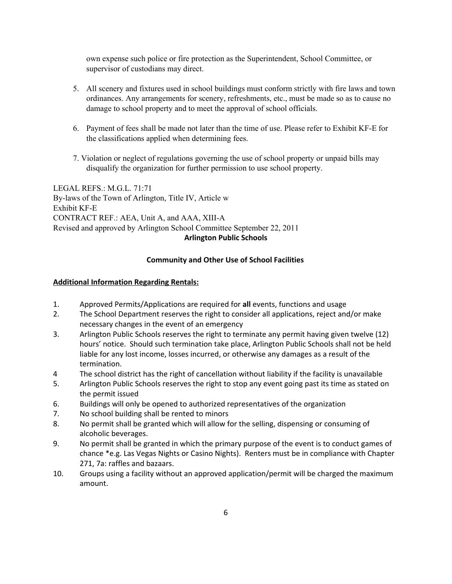own expense such police or fire protection as the Superintendent, School Committee, or supervisor of custodians may direct.

- 5. All scenery and fixtures used in school buildings must conform strictly with fire laws and town ordinances. Any arrangements for scenery, refreshments, etc., must be made so as to cause no damage to school property and to meet the approval of school officials.
- 6. Payment of fees shall be made not later than the time of use. Please refer to Exhibit KF-E for the classifications applied when determining fees.
- 7. Violation or neglect of regulations governing the use of school property or unpaid bills may disqualify the organization for further permission to use school property.

LEGAL REFS.: M.G.L. 71:71 By-laws of the Town of Arlington, Title IV, Article w Exhibit KF-E CONTRACT REF.: AEA, Unit A, and AAA, XIII-A Revised and approved by Arlington School Committee September 22, 2011 **Arlington Public Schools**

#### **Community and Other Use of School Facilities**

#### **Additional Information Regarding Rentals:**

- 1. Approved Permits/Applications are required for **all** events, functions and usage<br>2. The School Department reserves the right to consider all applications, reject and
- The School Department reserves the right to consider all applications, reject and/or make necessary changes in the event of an emergency
- 3. Arlington Public Schools reserves the right to terminate any permit having given twelve (12) hours' notice. Should such termination take place, Arlington Public Schools shall not be held liable for any lost income, losses incurred, or otherwise any damages as a result of the termination.
- 4 The school district has the right of cancellation without liability if the facility is unavailable
- 5. Arlington Public Schools reserves the right to stop any event going past its time as stated on the permit issued
- 6. Buildings will only be opened to authorized representatives of the organization
- 7. No school building shall be rented to minors
- 8. No permit shall be granted which will allow for the selling, dispensing or consuming of alcoholic beverages.
- 9. No permit shall be granted in which the primary purpose of the event is to conduct games of chance \*e.g. Las Vegas Nights or Casino Nights). Renters must be in compliance with Chapter 271, 7a: raffles and bazaars.
- 10. Groups using a facility without an approved application/permit will be charged the maximum amount.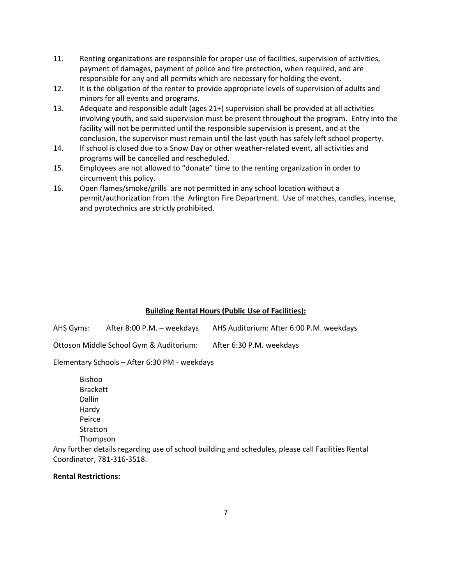- 11. Renting organizations are responsible for proper use of facilities, supervision of activities, payment of damages, payment of police and fire protection, when required, and are responsible for any and all permits which are necessary for holding the event.
- 12. It is the obligation of the renter to provide appropriate levels of supervision of adults and minors for all events and programs.
- 13. Adequate and responsible adult (ages 21+) supervision shall be provided at all activities involving youth, and said supervision must be present throughout the program. Entry into the facility will not be permitted until the responsible supervision is present, and at the conclusion, the supervisor must remain until the last youth has safely left school property.
- 14. If school is closed due to a Snow Day or other weather-related event, all activities and programs will be cancelled and rescheduled.
- 15. Employees are not allowed to "donate" time to the renting organization in order to circumvent this policy.
- 16. Open flames/smoke/grills are not permitted in any school location without a permit/authorization from the Arlington Fire Department. Use of matches, candles, incense, and pyrotechnics are strictly prohibited.

#### **Building Rental Hours (Public Use of Facilities):**

| AHS Gyms: | After 8:00 P.M. – weekdays              | AHS Auditorium: After 6:00 P.M. weekdays |
|-----------|-----------------------------------------|------------------------------------------|
|           | Ottoson Middle School Gym & Auditorium: | After 6:30 P.M. weekdays                 |

Elementary Schools – After 6:30 PM - weekdays

Bishop Brackett Dallin Hardy Peirce Stratton Thompson

Any further details regarding use of school building and schedules, please call Facilities Rental Coordinator, 781-316-3518.

#### **Rental Restrictions:**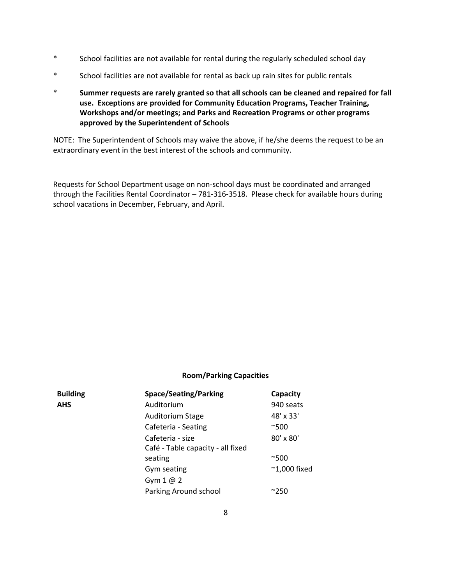- \* School facilities are not available for rental during the regularly scheduled school day
- \* School facilities are not available for rental as back up rain sites for public rentals
- \* **Summer requests are rarely granted so that all schools can be cleaned and repaired for fall use. Exceptions are provided for Community Education Programs, Teacher Training, Workshops and/or meetings; and Parks and Recreation Programs or other programs approved by the Superintendent of Schools**

NOTE: The Superintendent of Schools may waive the above, if he/she deems the request to be an extraordinary event in the best interest of the schools and community.

Requests for School Department usage on non-school days must be coordinated and arranged through the Facilities Rental Coordinator – 781-316-3518. Please check for available hours during school vacations in December, February, and April.

#### **Room/Parking Capacities**

| <b>Building</b> | <b>Space/Seating/Parking</b>      | Capacity               |  |
|-----------------|-----------------------------------|------------------------|--|
| <b>AHS</b>      | Auditorium                        | 940 seats              |  |
|                 | <b>Auditorium Stage</b>           | 48' x 33'              |  |
|                 | Cafeteria - Seating               | $^{\sim}500$           |  |
|                 | Cafeteria - size                  | 80' x 80'              |  |
|                 | Café - Table capacity - all fixed |                        |  |
|                 | seating                           | $^{\sim}500$           |  |
|                 | Gym seating                       | $~^{\sim}$ 1,000 fixed |  |
|                 | Gym $1@2$                         |                        |  |
|                 | Parking Around school             | $^{\sim}$ 250          |  |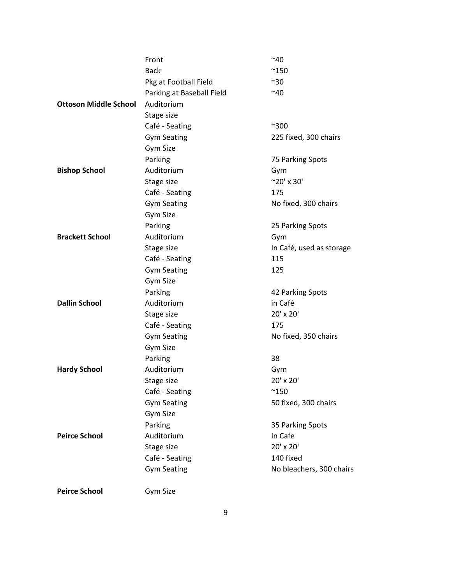|                              | Front                     | ~10                      |
|------------------------------|---------------------------|--------------------------|
|                              | <b>Back</b>               | $^{\sim}$ 150            |
|                              | Pkg at Football Field     | $^{\sim}30$              |
|                              | Parking at Baseball Field | ~140                     |
| <b>Ottoson Middle School</b> | Auditorium                |                          |
|                              | Stage size                |                          |
|                              | Café - Seating            | $^{\sim}300$             |
|                              | <b>Gym Seating</b>        | 225 fixed, 300 chairs    |
|                              | <b>Gym Size</b>           |                          |
|                              | Parking                   | 75 Parking Spots         |
| <b>Bishop School</b>         | Auditorium                | Gym                      |
|                              | Stage size                | $^{\sim}20'$ x 30'       |
|                              | Café - Seating            | 175                      |
|                              | <b>Gym Seating</b>        | No fixed, 300 chairs     |
|                              | Gym Size                  |                          |
|                              | Parking                   | 25 Parking Spots         |
| <b>Brackett School</b>       | Auditorium                | Gym                      |
|                              | Stage size                | In Café, used as storage |
|                              | Café - Seating            | 115                      |
|                              | <b>Gym Seating</b>        | 125                      |
|                              | <b>Gym Size</b>           |                          |
|                              | Parking                   | 42 Parking Spots         |
| <b>Dallin School</b>         | Auditorium                | in Café                  |
|                              | Stage size                | 20' x 20'                |
|                              | Café - Seating            | 175                      |
|                              | <b>Gym Seating</b>        | No fixed, 350 chairs     |
|                              | <b>Gym Size</b>           |                          |
|                              | Parking                   | 38                       |
| <b>Hardy School</b>          | Auditorium                | Gym                      |
|                              | Stage size                | 20' x 20'                |
|                              | Café - Seating            | $^{\sim}$ 150            |
|                              | <b>Gym Seating</b>        | 50 fixed, 300 chairs     |
|                              | <b>Gym Size</b>           |                          |
|                              | Parking                   | 35 Parking Spots         |
| <b>Peirce School</b>         | Auditorium                | In Cafe                  |
|                              | Stage size                | 20' x 20'                |
|                              | Café - Seating            | 140 fixed                |
|                              | <b>Gym Seating</b>        | No bleachers, 300 chairs |
|                              |                           |                          |

**Peirce School** Gym Size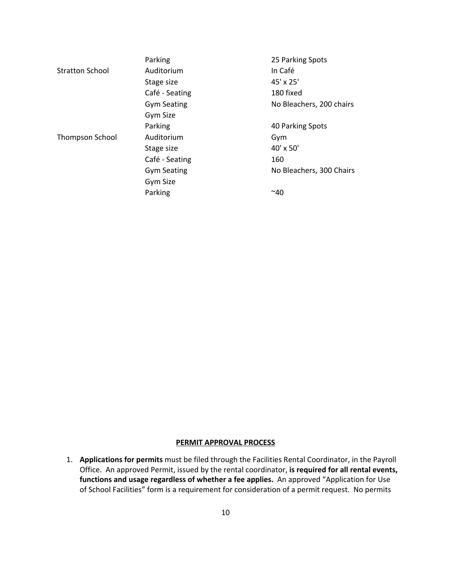|                        | Parking            | 25 Parking Spots         |
|------------------------|--------------------|--------------------------|
| <b>Stratton School</b> | Auditorium         | In Café                  |
|                        | Stage size         | 45' x 25'                |
|                        | Café - Seating     | 180 fixed                |
|                        | <b>Gym Seating</b> | No Bleachers, 200 chairs |
|                        | Gym Size           |                          |
|                        | Parking            | 40 Parking Spots         |
| <b>Thompson School</b> | Auditorium         | Gym                      |
|                        | Stage size         | 40' x 50'                |
|                        | Café - Seating     | 160                      |
|                        | <b>Gym Seating</b> | No Bleachers, 300 Chairs |
|                        | Gym Size           |                          |
|                        | Parking            | $^{\sim}40$              |

#### **PERMIT APPROVAL PROCESS**

1. **Applications for permits** must be filed through the Facilities Rental Coordinator, in the Payroll Office. An approved Permit, issued by the rental coordinator, **is required for all rentalevents, functions and usage regardless of whether a fee applies.** An approved "Application for Use of School Facilities" form is a requirement for consideration of a permit request. No permits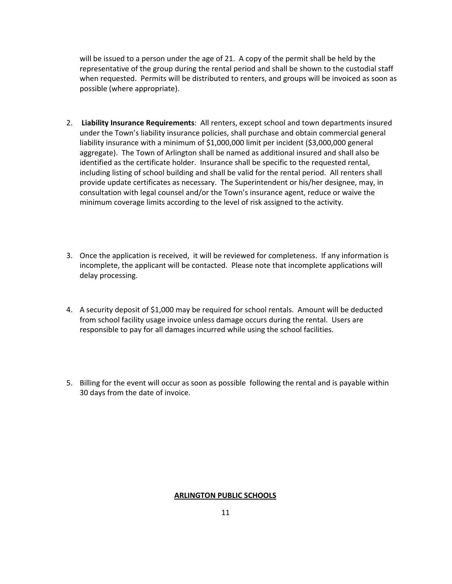will be issued to a person under the age of 21. A copy of the permit shall be held by the representative of the group during the rental period and shall be shown to the custodial staff when requested. Permits will be distributed to renters, and groups will be invoiced as soon as possible (where appropriate).

- 2. **LiabilityInsurance Requirements**: All renters, except school and town departments insured under the Town's liability insurance policies, shall purchase and obtain commercial general liability insurance with a minimum of \$1,000,000 limit per incident (\$3,000,000 general aggregate). The Town of Arlington shall be named as additional insured and shall also be identified as the certificate holder. Insurance shall be specific to the requested rental, including listing of school building and shall be valid for the rental period. All renters shall provide update certificates as necessary. The Superintendent or his/her designee, may, in consultation with legal counsel and/or the Town's insurance agent, reduce or waive the minimum coverage limits according to the level of risk assigned to the activity.
- 3. Once the application is received, it will be reviewed for completeness. If any information is incomplete, the applicant will be contacted. Please note that incomplete applications will delay processing.
- 4. A security deposit of \$1,000 may be required for school rentals. Amount will be deducted from school facility usage invoice unless damage occurs during the rental. Users are responsible to pay for all damages incurred while using the school facilities.
- 5. Billing for the event will occur as soon as possible following the rental and is payable within 30 days from the date of invoice.

#### **ARLINGTON PUBLIC SCHOOLS**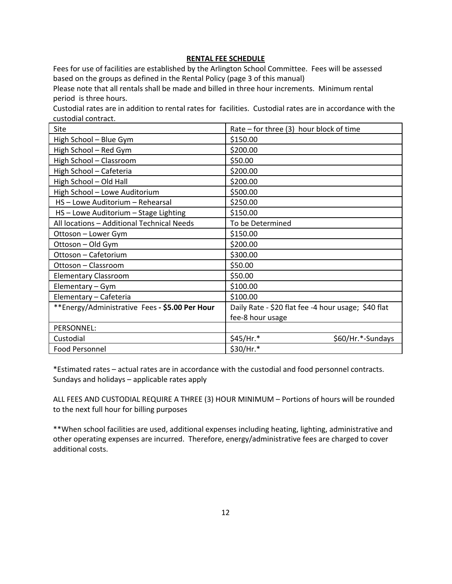#### **RENTAL FEE SCHEDULE**

Fees for use of facilities are established by the Arlington School Committee. Fees will be assessed based on the groups as defined in the Rental Policy (page 3 of this manual)

Please note that all rentals shall be made and billed in three hour increments. Minimum rental period is three hours.

Custodial rates are in addition to rental rates for facilities. Custodial rates are in accordance with the custodial contract.

| Site                                           | Rate - for three (3) hour block of time             |
|------------------------------------------------|-----------------------------------------------------|
| High School - Blue Gym                         | \$150.00                                            |
| High School - Red Gym                          | \$200.00                                            |
| High School - Classroom                        | \$50.00                                             |
| High School - Cafeteria                        | \$200.00                                            |
| High School - Old Hall                         | \$200.00                                            |
| High School - Lowe Auditorium                  | \$500.00                                            |
| HS - Lowe Auditorium - Rehearsal               | \$250.00                                            |
| HS - Lowe Auditorium - Stage Lighting          | \$150.00                                            |
| All locations - Additional Technical Needs     | To be Determined                                    |
| Ottoson – Lower Gym                            | \$150.00                                            |
| Ottoson - Old Gym                              | \$200.00                                            |
| Ottoson - Cafetorium                           | \$300.00                                            |
| Ottoson - Classroom                            | \$50.00                                             |
| <b>Elementary Classroom</b>                    | \$50.00                                             |
| Elementary – Gym                               | \$100.00                                            |
| Elementary - Cafeteria                         | \$100.00                                            |
| **Energy/Administrative Fees - \$5.00 Per Hour | Daily Rate - \$20 flat fee -4 hour usage; \$40 flat |
|                                                | fee-8 hour usage                                    |
| PERSONNEL:                                     |                                                     |
| Custodial                                      | \$45/Hr.*<br>\$60/Hr.*-Sundays                      |
| <b>Food Personnel</b>                          | \$30/Hr.*                                           |

\*Estimated rates – actual rates are in accordance with the custodial and food personnel contracts. Sundays and holidays – applicable rates apply

ALL FEES AND CUSTODIAL REQUIRE A THREE (3) HOUR MINIMUM – Portions of hours will be rounded to the next full hour for billing purposes

\*\*When school facilities are used, additional expenses including heating, lighting, administrative and other operating expenses are incurred. Therefore, energy/administrative fees are charged to cover additional costs.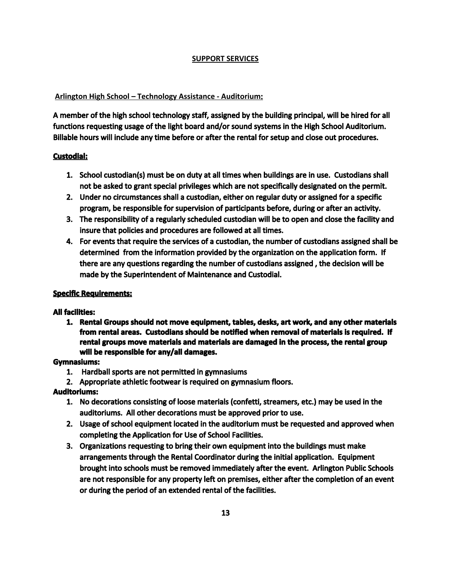## **SUPPORT SERVICES**

## **Arlington High School – Technology Assistance - Auditorium**:

A member of the high school technology staff, assigned by the building principal, will be hired for all functions requesting usage of the light board and/or sound systems in the High School Auditorium. Billable hours will include any time before or after the rental for setup and close out procedures.

## **Custodial:**

- 1. School custodian(s) must be on duty at all times when buildings are in use. Custodians shall not be asked to grant special privileges which are not specifically designated on the permit.
- 2. Under no circumstances shall a custodian, either on regular duty or assigned for a specific program, be responsible for supervision of participants before, during or after an activity.
- 3. The responsibility of a regularly scheduled custodian will be to open and close the facility and insure that policies and procedures are followed at all times.
- 4. For events that require the services of a custodian, the number of custodians assigned shall be determined from the information provided by the organization on the application form. If there are any questions regarding the number of custodians assigned , the decision will be made by the Superintendent of Maintenance and Custodial.

## **Specific Requirements:**

## **All facilities:**

1. Rental Groups should not move equipment, tables, desks, art work, and any other materials from rental areas. Custodians should be notified when removal of materials is required. If rental groups move materials and materials are damaged in the process, the rental group **will be responsible for any/all damages.** 

## **Gymnasiums:**

- 1. Hardball sports are not permitted in gymnasiums
- 2. Appropriate athletic footwear is required on gymnasium floors.

## **Auditoriums:**

- 1. No decorations consisting of loose materials (confetti, streamers, etc.) may be used in the auditoriums. All other decorations must be approved prior to use.
- 2. Usage of school equipment located in the auditorium must be requested and approved when completing the Application for Use of School Facilities.
- 3. Organizations requesting to bring their own equipment into the buildings must make arrangements through the Rental Coordinator during the initial application. Equipment brought into schools must be removed immediately after the event. Arlington Public Schools are not responsible for any property left on premises, either after the completion of an event or during the period of an extended rental of the facilities.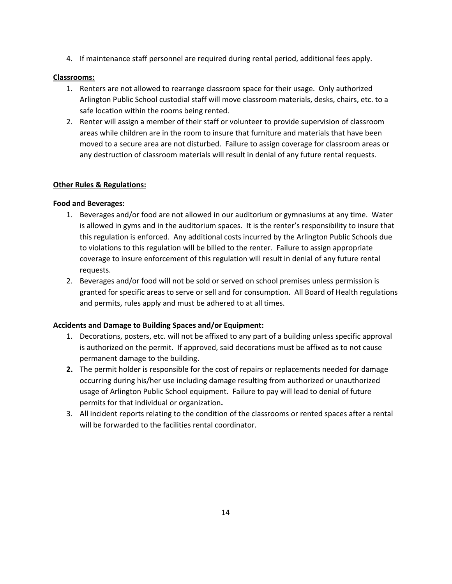4. If maintenance staff personnel are required during rental period, additional fees apply.

## **Classrooms:**

- 1. Renters are not allowed to rearrange classroom space for their usage. Only authorized Arlington Public School custodial staff will move classroom materials, desks, chairs, etc. to a safe location within the rooms being rented.
- 2. Renter will assign a member of their staff or volunteer to provide supervision of classroom areas while children are in the room to insure that furniture and materials that have been moved to a secure area are not disturbed. Failure to assign coverage for classroom areas or any destruction of classroom materials will result in denial of any future rental requests.

## **Other Rules & Regulations:**

#### **Food and Beverages:**

- 1. Beverages and/or food are not allowed in our auditorium or gymnasiums at any time. Water is allowed in gyms and in the auditorium spaces. It is the renter's responsibility to insure that this regulation is enforced. Any additional costs incurred by the Arlington Public Schools due to violations to this regulation will be billed to the renter. Failure to assign appropriate coverage to insure enforcement of this regulation will result in denial of any future rental requests.
- 2. Beverages and/or food will not be sold or served on school premises unless permission is granted for specific areas to serve or sell and for consumption. All Board of Health regulations and permits, rules apply and must be adhered to at all times.

#### **Accidents and Damage to Building Spaces and/or Equipment:**

- 1. Decorations, posters, etc. will not be affixed to any part of a building unless specific approval is authorized on the permit. If approved, said decorations must be affixed as to not cause permanent damage to the building.
- **2.** The permit holder is responsible for the cost of repairs or replacements needed for damage occurring during his/her use including damage resulting from authorized or unauthorized usage of Arlington Public School equipment. Failure to pay will lead to denial of future permits for that individual or organization**.**
- 3. All incident reports relating to the condition of the classrooms or rented spaces after a rental will be forwarded to the facilities rental coordinator.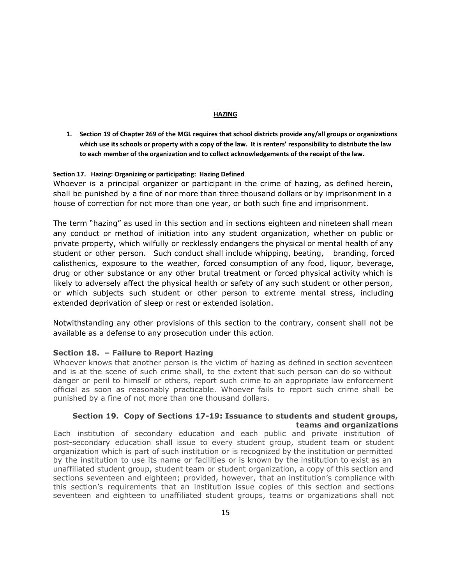#### **HAZING**

1. Section 19 of Chapter 269 of the MGL requires that school districts provide any/all groups or organizations which use its schools or property with a copy of the law. It is renters' responsibility to distribute the law **to each member of the organization and to collect acknowledgements of the receipt of the law.**

#### **Section 17. Hazing: Organizing or participating: Hazing Defined**

Whoever is a principal organizer or participant in the crime of hazing, as defined herein, shall be punished by a fine of nor more than three thousand dollars or by imprisonment in a house of correction for not more than one year, or both such fine and imprisonment.

The term "hazing" as used in this section and in sections eighteen and nineteen shall mean any conduct or method of initiation into any student organization, whether on public or private property, which wilfully or recklessly endangers the physical or mental health of any student or other person. Such conduct shall include whipping, beating, branding, forced calisthenics, exposure to the weather, forced consumption of any food, liquor, beverage, drug or other substance or any other brutal treatment or forced physical activity which is likely to adversely affect the physical health or safety of any such student or other person, or which subjects such student or other person to extreme mental stress, including extended deprivation of sleep or rest or extended isolation.

Notwithstanding any other provisions of this section to the contrary, consent shall not be available as a defense to any prosecution under this action.

#### **Section 18. – Failure to Report Hazing**

Whoever knows that another person is the victim of hazing as defined in section seventeen and is at the scene of such crime shall, to the extent that such person can do so without danger or peril to himself or others, report such crime to an appropriate law enforcement official as soon as reasonably practicable. Whoever fails to report such crime shall be punished by a fine of not more than one thousand dollars.

#### **Section 19. Copy of Sections 17-19: Issuance to students and student groups, teams and organizations**

Each institution of secondary education and each public and private institution of post-secondary education shall issue to every student group, student team or student organization which is part of such institution or is recognized by the institution or permitted by the institution to use its name or facilities or is known by the institution to exist as an unaffiliated student group, student team or student organization, a copy of this section and sections seventeen and eighteen; provided, however, that an institution's compliance with this section's requirements that an institution issue copies of this section and sections seventeen and eighteen to unaffiliated student groups, teams or organizations shall not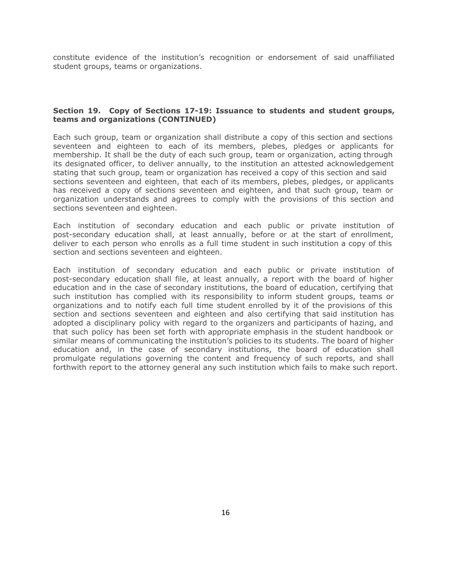constitute evidence of the institution's recognition or endorsement of said unaffiliated student groups, teams or organizations.

#### **Section 19. Copy of Sections 17-19: Issuance to students and student groups, teams and organizations (CONTINUED)**

Each such group, team or organization shall distribute a copy of this section and sections seventeen and eighteen to each of its members, plebes, pledges or applicants for membership. It shall be the duty of each such group, team or organization, acting through its designated officer, to deliver annually, to the institution an attested acknowledgement stating that such group, team or organization has received a copy of this section and said sections seventeen and eighteen, that each of its members, plebes, pledges, or applicants has received a copy of sections seventeen and eighteen, and that such group, team or organization understands and agrees to comply with the provisions of this section and sections seventeen and eighteen.

Each institution of secondary education and each public or private institution of post-secondary education shall, at least annually, before or at the start of enrollment, deliver to each person who enrolls as a full time student in such institution a copy of this section and sections seventeen and eighteen.

Each institution of secondary education and each public or private institution of post-secondary education shall file, at least annually, a report with the board of higher education and in the case of secondary institutions, the board of education, certifying that such institution has complied with its responsibility to inform student groups, teams or organizations and to notify each full time student enrolled by it of the provisions of this section and sections seventeen and eighteen and also certifying that said institution has adopted a disciplinary policy with regard to the organizers and participants of hazing, and that such policy has been set forth with appropriate emphasis in the student handbook or similar means of communicating the institution's policies to its students. The board of higher education and, in the case of secondary institutions, the board of education shall promulgate regulations governing the content and frequency of such reports, and shall forthwith report to the attorney general any such institution which fails to make such report.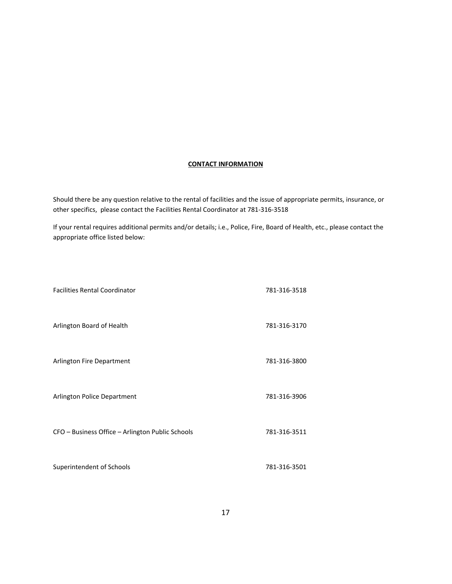#### **CONTACT INFORMATION**

Should there be any question relative to the rental of facilities and the issue of appropriate permits, insurance, or other specifics, please contact the Facilities Rental Coordinator at 781-316-3518

If your rental requires additional permits and/or details; i.e., Police, Fire, Board of Health, etc., please contact the appropriate office listed below:

| <b>Facilities Rental Coordinator</b>             | 781-316-3518 |
|--------------------------------------------------|--------------|
| Arlington Board of Health                        | 781-316-3170 |
| Arlington Fire Department                        | 781-316-3800 |
| Arlington Police Department                      | 781-316-3906 |
| CFO - Business Office - Arlington Public Schools | 781-316-3511 |
| Superintendent of Schools                        | 781-316-3501 |